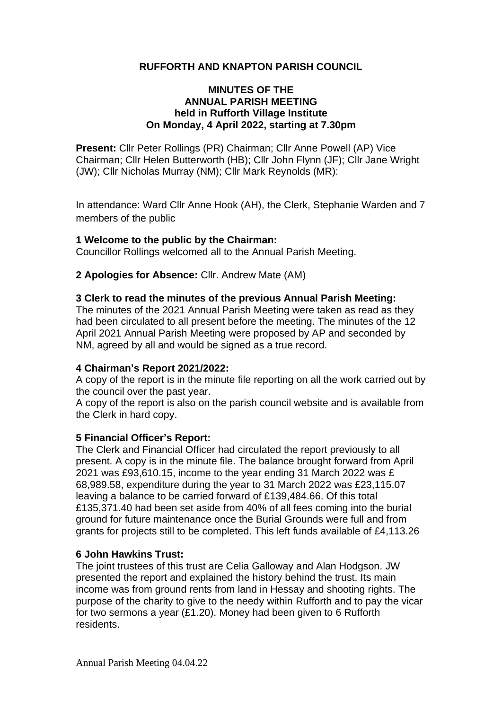## **RUFFORTH AND KNAPTON PARISH COUNCIL**

## **MINUTES OF THE ANNUAL PARISH MEETING held in Rufforth Village Institute On Monday, 4 April 2022, starting at 7.30pm**

**Present:** Cllr Peter Rollings (PR) Chairman; Cllr Anne Powell (AP) Vice Chairman; Cllr Helen Butterworth (HB); Cllr John Flynn (JF); Cllr Jane Wright (JW); Cllr Nicholas Murray (NM); Cllr Mark Reynolds (MR):

In attendance: Ward Cllr Anne Hook (AH), the Clerk, Stephanie Warden and 7 members of the public

#### **1 Welcome to the public by the Chairman:**

Councillor Rollings welcomed all to the Annual Parish Meeting.

## **2 Apologies for Absence:** Cllr. Andrew Mate (AM)

#### **3 Clerk to read the minutes of the previous Annual Parish Meeting:**

The minutes of the 2021 Annual Parish Meeting were taken as read as they had been circulated to all present before the meeting. The minutes of the 12 April 2021 Annual Parish Meeting were proposed by AP and seconded by NM, agreed by all and would be signed as a true record.

#### **4 Chairman's Report 2021/2022:**

A copy of the report is in the minute file reporting on all the work carried out by the council over the past year.

A copy of the report is also on the parish council website and is available from the Clerk in hard copy.

#### **5 Financial Officer's Report:**

The Clerk and Financial Officer had circulated the report previously to all present. A copy is in the minute file. The balance brought forward from April 2021 was £93,610.15, income to the year ending 31 March 2022 was £ 68,989.58, expenditure during the year to 31 March 2022 was £23,115.07 leaving a balance to be carried forward of £139,484.66. Of this total £135,371.40 had been set aside from 40% of all fees coming into the burial ground for future maintenance once the Burial Grounds were full and from grants for projects still to be completed. This left funds available of £4,113.26

#### **6 John Hawkins Trust:**

The joint trustees of this trust are Celia Galloway and Alan Hodgson. JW presented the report and explained the history behind the trust. Its main income was from ground rents from land in Hessay and shooting rights. The purpose of the charity to give to the needy within Rufforth and to pay the vicar for two sermons a year (£1.20). Money had been given to 6 Rufforth residents.